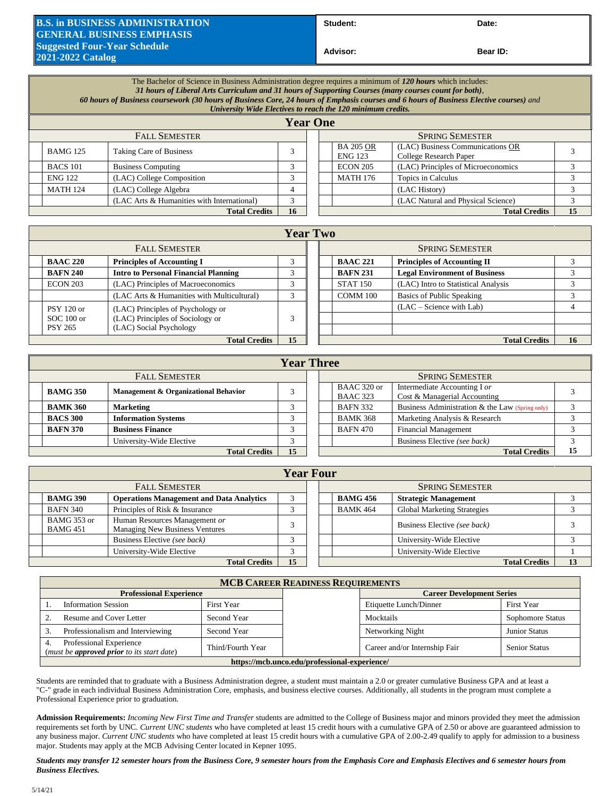## **B.S. in BUSINESS ADMINISTRATION GENERAL BUSINESS EMPHASIS Suggested Four-Year Schedule 2021-2022 Catalog**

Student: Date:

**Advisor: Bear ID:** 

|                      | The Bachelor of Science in Business Administration degree requires a minimum of 120 hours which includes:<br>31 hours of Liberal Arts Curriculum and 31 hours of Supporting Courses (many courses count for both),<br>60 hours of Business coursework (30 hours of Business Core, 24 hours of Emphasis courses and 6 hours of Business Elective courses) and<br>University Wide Electives to reach the 120 minimum credits. |                                            |    |  |                                    |                                                            |    |  |
|----------------------|-----------------------------------------------------------------------------------------------------------------------------------------------------------------------------------------------------------------------------------------------------------------------------------------------------------------------------------------------------------------------------------------------------------------------------|--------------------------------------------|----|--|------------------------------------|------------------------------------------------------------|----|--|
|                      |                                                                                                                                                                                                                                                                                                                                                                                                                             |                                            |    |  |                                    |                                                            |    |  |
| <b>FALL SEMESTER</b> |                                                                                                                                                                                                                                                                                                                                                                                                                             |                                            |    |  |                                    | <b>SPRING SEMESTER</b>                                     |    |  |
|                      | <b>BAMG 125</b>                                                                                                                                                                                                                                                                                                                                                                                                             | Taking Care of Business                    | 3  |  | <b>BA 205 OR</b><br><b>ENG 123</b> | (LAC) Business Communications OR<br>College Research Paper |    |  |
|                      | <b>BACS 101</b>                                                                                                                                                                                                                                                                                                                                                                                                             | <b>Business Computing</b>                  | 3  |  | <b>ECON 205</b>                    | (LAC) Principles of Microeconomics                         |    |  |
|                      | <b>ENG 122</b>                                                                                                                                                                                                                                                                                                                                                                                                              | (LAC) College Composition                  | 3  |  | <b>MATH 176</b>                    | Topics in Calculus                                         |    |  |
|                      | <b>MATH 124</b>                                                                                                                                                                                                                                                                                                                                                                                                             | (LAC) College Algebra                      |    |  |                                    | (LAC History)                                              |    |  |
|                      |                                                                                                                                                                                                                                                                                                                                                                                                                             | (LAC Arts & Humanities with International) | 3  |  |                                    | (LAC Natural and Physical Science)                         |    |  |
| <b>Total Credits</b> |                                                                                                                                                                                                                                                                                                                                                                                                                             |                                            | 16 |  |                                    | <b>Total Credits</b>                                       | 15 |  |

## **Year Two**

| TUAL THU             |                                             |            |  |                 |                                      |    |  |  |  |
|----------------------|---------------------------------------------|------------|--|-----------------|--------------------------------------|----|--|--|--|
|                      | <b>FALL SEMESTER</b>                        |            |  |                 | <b>SPRING SEMESTER</b>               |    |  |  |  |
| <b>BAAC 220</b>      | <b>Principles of Accounting I</b>           |            |  | <b>BAAC 221</b> | <b>Principles of Accounting II</b>   |    |  |  |  |
| <b>BAFN 240</b>      | <b>Intro to Personal Financial Planning</b> | $\sqrt{2}$ |  | <b>BAFN 231</b> | <b>Legal Environment of Business</b> |    |  |  |  |
| <b>ECON 203</b>      | (LAC) Principles of Macroeconomics          | $\sqrt{2}$ |  | <b>STAT 150</b> | (LAC) Intro to Statistical Analysis  |    |  |  |  |
|                      | (LAC Arts & Humanities with Multicultural)  | $\sqrt{2}$ |  | COMM 100        | Basics of Public Speaking            |    |  |  |  |
| $PSY$ 120 or         | (LAC) Principles of Psychology or           |            |  |                 | $(LAC - Science with Lab)$           |    |  |  |  |
| $SOC 100$ or         | (LAC) Principles of Sociology or            | 3          |  |                 |                                      |    |  |  |  |
| <b>PSY 265</b>       | (LAC) Social Psychology                     |            |  |                 |                                      |    |  |  |  |
| <b>Total Credits</b> |                                             |            |  |                 | <b>Total Credits</b>                 | 16 |  |  |  |
|                      |                                             |            |  |                 |                                      |    |  |  |  |

| <b>Year Three</b> |                                      |    |  |                                                                    |                                                              |    |  |  |
|-------------------|--------------------------------------|----|--|--------------------------------------------------------------------|--------------------------------------------------------------|----|--|--|
|                   | <b>FALL SEMESTER</b>                 |    |  | <b>SPRING SEMESTER</b>                                             |                                                              |    |  |  |
| <b>BAMG 350</b>   | Management & Organizational Behavior |    |  | BAAC 320 or<br><b>BAAC 323</b>                                     | Intermediate Accounting I or<br>Cost & Managerial Accounting |    |  |  |
| <b>BAMK 360</b>   | <b>Marketing</b>                     |    |  | Business Administration & the Law (Spring only)<br><b>BAFN 332</b> |                                                              |    |  |  |
| <b>BACS 300</b>   | <b>Information Systems</b>           |    |  | <b>BAMK 368</b>                                                    | Marketing Analysis & Research                                |    |  |  |
| <b>BAFN 370</b>   | <b>Business Finance</b>              |    |  | <b>BAFN 470</b>                                                    | <b>Financial Management</b>                                  |    |  |  |
|                   | University-Wide Elective             |    |  |                                                                    | Business Elective (see back)                                 |    |  |  |
|                   | <b>Total Credits</b>                 | 15 |  |                                                                    | <b>Total Credits</b>                                         | 15 |  |  |

| <b>Year Four</b>               |                                                                        |  |  |                        |                                    |  |  |  |  |
|--------------------------------|------------------------------------------------------------------------|--|--|------------------------|------------------------------------|--|--|--|--|
|                                | <b>FALL SEMESTER</b>                                                   |  |  | <b>SPRING SEMESTER</b> |                                    |  |  |  |  |
| <b>BAMG 390</b>                | <b>Operations Management and Data Analytics</b>                        |  |  | <b>BAMG 456</b>        | <b>Strategic Management</b>        |  |  |  |  |
| <b>BAFN 340</b>                | Principles of Risk & Insurance                                         |  |  | <b>BAMK 464</b>        | <b>Global Marketing Strategies</b> |  |  |  |  |
| BAMG 353 or<br><b>BAMG 451</b> | Human Resources Management or<br><b>Managing New Business Ventures</b> |  |  |                        | Business Elective (see back)       |  |  |  |  |
|                                | Business Elective (see back)                                           |  |  |                        | University-Wide Elective           |  |  |  |  |
|                                | University-Wide Elective                                               |  |  |                        | University-Wide Elective           |  |  |  |  |
|                                | <b>Total Credits</b>                                                   |  |  | <b>Total Credits</b>   | 13                                 |  |  |  |  |

| <b>MCB CAREER READINESS REQUIREMENTS</b>                                                  |                                               |  |                               |                      |  |  |  |  |  |
|-------------------------------------------------------------------------------------------|-----------------------------------------------|--|-------------------------------|----------------------|--|--|--|--|--|
| <b>Professional Experience</b><br><b>Career Development Series</b>                        |                                               |  |                               |                      |  |  |  |  |  |
| <b>Information Session</b>                                                                | First Year                                    |  | Etiquette Lunch/Dinner        | First Year           |  |  |  |  |  |
| Resume and Cover Letter<br>Second Year<br>Professionalism and Interviewing<br>Second Year |                                               |  | Mocktails                     | Sophomore Status     |  |  |  |  |  |
|                                                                                           |                                               |  | Networking Night              | <b>Junior Status</b> |  |  |  |  |  |
| Professional Experience<br>(must be <b>approved prior</b> to its start date)              | Third/Fourth Year                             |  | Career and/or Internship Fair | <b>Senior Status</b> |  |  |  |  |  |
|                                                                                           | https://mcb.unco.edu/professional-experience/ |  |                               |                      |  |  |  |  |  |

Students are reminded that to graduate with a Business Administration degree, a student must maintain a 2.0 or greater cumulative Business GPA and at least a "C-" grade in each individual Business Administration Core, emphasis, and business elective courses. Additionally, all students in the program must complete a Professional Experience prior to graduation.

**Admission Requirements:** *Incoming New First Time and Transfer* students are admitted to the College of Business major and minors provided they meet the admission requirements set forth by UNC. *Current UNC students* who have completed at least 15 credit hours with a cumulative GPA of 2.50 or above are guaranteed admission to any business major. *Current UNC students* who have completed at least 15 credit hours with a cumulative GPA of 2.00-2.49 qualify to apply for admission to a business major. Students may apply at the MCB Advising Center located in Kepner 1095.

*Students may transfer 12 semester hours from the Business Core, 9 semester hours from the Emphasis Core and Emphasis Electives and 6 semester hours from Business Electives.*